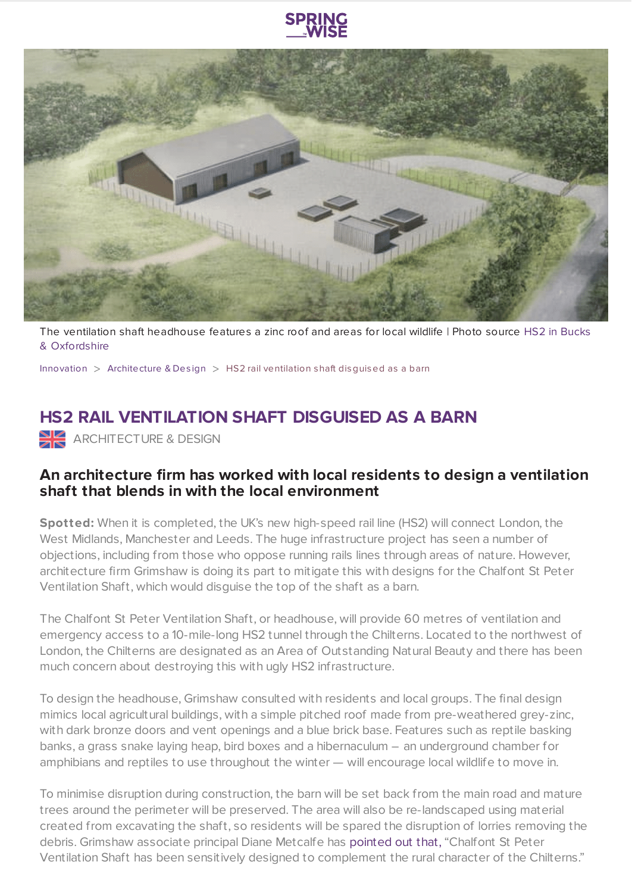

The ventilation shaft [headhouse](https://hs2inbucksandoxfordshire.commonplace.is/proposals/chalfont-st-peter-ventilation-shaft-engagement) features a zinc roof and areas for local wildlife | Photo source HS2 in Bucks & Oxfordshire

[Innovation](https://www.springwise.com/search?type=innovation) > [Architecture](https://www.springwise.com/search?type=innovation§or=architecture-design) & Design > HS2 rail ventilation shaft disguised as a barn

## **HS2 RAIL VENTILATION SHAFT DISGUISED AS A BARN**

ARCHITECTURE & DESIGN

## **An architecture firm has worked with local residents to design a ventilation shaft that blends in with the local environment**

**Spotted:** When it is completed, the UK's new high-speed rail line (HS2) will connect London, the West Midlands, Manchester and Leeds. The huge infrastructure project has seen a number of objections, including from those who oppose running rails lines through areas of nature. However, architecture firm Grimshaw is doing its part to mitigate this with designs for the Chalfont St Peter Ventilation Shaft, which would disguise the top of the shaft as a barn.

The Chalfont St Peter Ventilation Shaft, or headhouse, will provide 60 metres of ventilation and emergency access to a 10-mile-long HS2 tunnel through the Chilterns. Located to the northwest of London, the Chilterns are designated as an Area of Outstanding Natural Beauty and there has been much concern about destroying this with ugly HS2 infrastructure.

To design the headhouse, Grimshaw consulted with residents and local groups. The final design mimics local agricultural buildings, with a simple pitched roof made from pre-weathered grey-zinc, with dark bronze doors and vent openings and a blue brick base. Features such as reptile basking banks, a grass snake laying heap, bird boxes and a hibernaculum – an underground chamber for amphibians and reptiles to use throughout the winter — will encourage local wildlife to move in.

To minimise disruption during construction, the barn will be set back from the main road and mature trees around the perimeter will be preserved. The area will also be re-landscaped using material created from excavating the shaft, so residents will be spared the disruption of lorries removing the debris. Grimshaw associate principal Diane Metcalfe has [pointed](https://www.dezeen.com/2020/07/24/chalfont-st-peter-ventilation-shaft-grimshaw-hs2-barn-architecture/) out that, "Chalfont St Peter Ventilation Shaft has been sensitively designed to complement the rural character of the Chilterns."